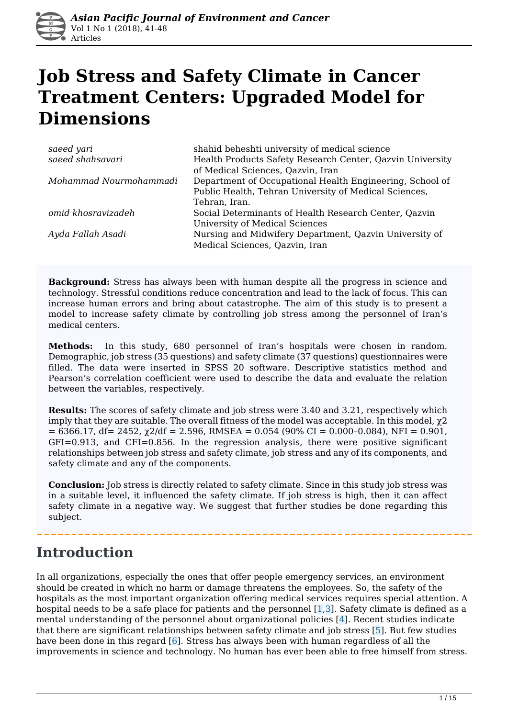

# **Job Stress and Safety Climate in Cancer Treatment Centers: Upgraded Model for Dimensions**

| saeed yari             | shahid beheshti university of medical science             |
|------------------------|-----------------------------------------------------------|
| saeed shahsavari       | Health Products Safety Research Center, Qazvin University |
|                        | of Medical Sciences, Qazvin, Iran                         |
| Mohammad Nourmohammadi | Department of Occupational Health Engineering, School of  |
|                        | Public Health, Tehran University of Medical Sciences,     |
|                        | Tehran, Iran.                                             |
| omid khosravizadeh     | Social Determinants of Health Research Center, Qazvin     |
|                        | <b>University of Medical Sciences</b>                     |
| Ayda Fallah Asadi      | Nursing and Midwifery Department, Qazvin University of    |
|                        | Medical Sciences, Qazvin, Iran                            |

**Background:** Stress has always been with human despite all the progress in science and technology. Stressful conditions reduce concentration and lead to the lack of focus. This can increase human errors and bring about catastrophe. The aim of this study is to present a model to increase safety climate by controlling job stress among the personnel of Iran's medical centers.

**Methods:** In this study, 680 personnel of Iran's hospitals were chosen in random. Demographic, job stress (35 questions) and safety climate (37 questions) questionnaires were filled. The data were inserted in SPSS 20 software. Descriptive statistics method and Pearson's correlation coefficient were used to describe the data and evaluate the relation between the variables, respectively.

**Results:** The scores of safety climate and job stress were 3.40 and 3.21, respectively which imply that they are suitable. The overall fitness of the model was acceptable. In this model, χ2  $= 6366.17$ , df = 2452,  $\chi$ 2/df = 2.596, RMSEA = 0.054 (90% CI = 0.000-0.084), NFI = 0.901, GFI=0.913, and CFI=0.856. In the regression analysis, there were positive significant relationships between job stress and safety climate, job stress and any of its components, and safety climate and any of the components.

**Conclusion:** Job stress is directly related to safety climate. Since in this study job stress was in a suitable level, it influenced the safety climate. If job stress is high, then it can affect safety climate in a negative way. We suggest that further studies be done regarding this subject.

### **Introduction**

In all organizations, especially the ones that offer people emergency services, an environment should be created in which no harm or damage threatens the employees. So, the safety of the hospitals as the most important organization offering medical services requires special attention. A hospital needs to be a safe place for patients and the personnel  $[1,3]$ . Safety climate is defined as a mental understanding of the personnel about organizational policies [4]. Recent studies indicate that there are significant relationships between safety climate and job stress [5]. But few studies have been done in this regard [6]. Stress has always been with human regardless of all the improvements in science and technology. No human has ever been able to free himself from stress.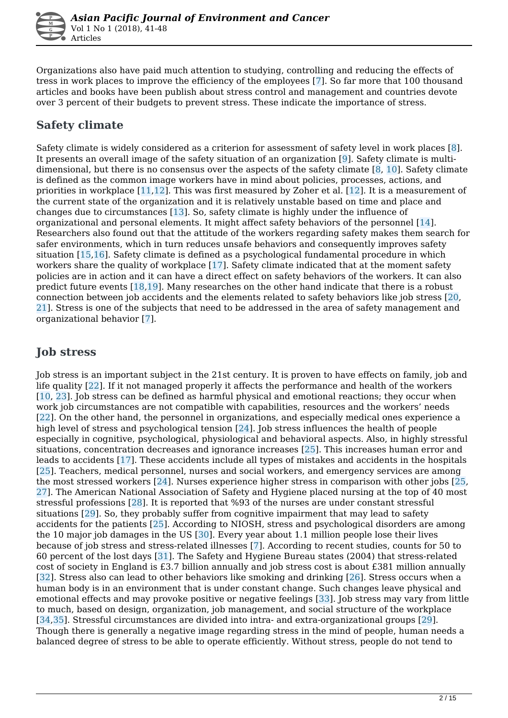Organizations also have paid much attention to studying, controlling and reducing the effects of tress in work places to improve the efficiency of the employees [7]. So far more that 100 thousand articles and books have been publish about stress control and management and countries devote over 3 percent of their budgets to prevent stress. These indicate the importance of stress.

### **Safety climate**

Safety climate is widely considered as a criterion for assessment of safety level in work places [8]. It presents an overall image of the safety situation of an organization [9]. Safety climate is multidimensional, but there is no consensus over the aspects of the safety climate [8, 10]. Safety climate is defined as the common image workers have in mind about policies, processes, actions, and priorities in workplace [11,12]. This was first measured by Zoher et al. [12]. It is a measurement of the current state of the organization and it is relatively unstable based on time and place and changes due to circumstances [13]. So, safety climate is highly under the influence of organizational and personal elements. It might affect safety behaviors of the personnel [14]. Researchers also found out that the attitude of the workers regarding safety makes them search for safer environments, which in turn reduces unsafe behaviors and consequently improves safety situation [15,16]. Safety climate is defined as a psychological fundamental procedure in which workers share the quality of workplace [17]. Safety climate indicated that at the moment safety policies are in action and it can have a direct effect on safety behaviors of the workers. It can also predict future events  $[18,19]$ . Many researches on the other hand indicate that there is a robust connection between job accidents and the elements related to safety behaviors like job stress [20, 21]. Stress is one of the subjects that need to be addressed in the area of safety management and organizational behavior [7].

### **Job stress**

Job stress is an important subject in the 21st century. It is proven to have effects on family, job and life quality [22]. If it not managed properly it affects the performance and health of the workers [10, 23]. Job stress can be defined as harmful physical and emotional reactions; they occur when work job circumstances are not compatible with capabilities, resources and the workers' needs [22]. On the other hand, the personnel in organizations, and especially medical ones experience a high level of stress and psychological tension [24]. Job stress influences the health of people especially in cognitive, psychological, physiological and behavioral aspects. Also, in highly stressful situations, concentration decreases and ignorance increases [25]. This increases human error and leads to accidents [17]. These accidents include all types of mistakes and accidents in the hospitals [25]. Teachers, medical personnel, nurses and social workers, and emergency services are among the most stressed workers  $\lceil 24 \rceil$ . Nurses experience higher stress in comparison with other jobs  $\lceil 25 \rceil$ , 27]. The American National Association of Safety and Hygiene placed nursing at the top of 40 most stressful professions [28]. It is reported that %93 of the nurses are under constant stressful situations [29]. So, they probably suffer from cognitive impairment that may lead to safety accidents for the patients [25]. According to NIOSH, stress and psychological disorders are among the 10 major job damages in the US [30]. Every year about 1.1 million people lose their lives because of job stress and stress-related illnesses [7]. According to recent studies, counts for 50 to 60 percent of the lost days [31]. The Safety and Hygiene Bureau states (2004) that stress-related cost of society in England is £3.7 billion annually and job stress cost is about £381 million annually [32]. Stress also can lead to other behaviors like smoking and drinking [26]. Stress occurs when a human body is in an environment that is under constant change. Such changes leave physical and emotional effects and may provoke positive or negative feelings [33]. Job stress may vary from little to much, based on design, organization, job management, and social structure of the workplace [34,35]. Stressful circumstances are divided into intra- and extra-organizational groups [29]. Though there is generally a negative image regarding stress in the mind of people, human needs a balanced degree of stress to be able to operate efficiently. Without stress, people do not tend to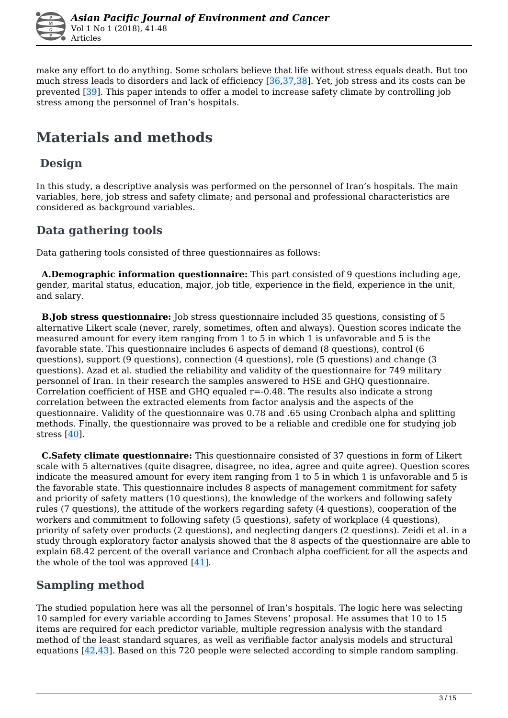

make any effort to do anything. Some scholars believe that life without stress equals death. But too much stress leads to disorders and lack of efficiency [36,37,38]. Yet, job stress and its costs can be prevented [39]. This paper intends to offer a model to increase safety climate by controlling job stress among the personnel of Iran's hospitals.

# **Materials and methods**

### **Design**

In this study, a descriptive analysis was performed on the personnel of Iran's hospitals. The main variables, here, job stress and safety climate; and personal and professional characteristics are considered as background variables.

#### **Data gathering tools**

Data gathering tools consisted of three questionnaires as follows:

 **A.Demographic information questionnaire:** This part consisted of 9 questions including age, gender, marital status, education, major, job title, experience in the field, experience in the unit, and salary.

 **B.Job stress questionnaire:** Job stress questionnaire included 35 questions, consisting of 5 alternative Likert scale (never, rarely, sometimes, often and always). Question scores indicate the measured amount for every item ranging from 1 to 5 in which 1 is unfavorable and 5 is the favorable state. This questionnaire includes 6 aspects of demand (8 questions), control (6 questions), support (9 questions), connection (4 questions), role (5 questions) and change (3 questions). Azad et al. studied the reliability and validity of the questionnaire for 749 military personnel of Iran. In their research the samples answered to HSE and GHQ questionnaire. Correlation coefficient of HSE and GHQ equaled r=-0.48. The results also indicate a strong correlation between the extracted elements from factor analysis and the aspects of the questionnaire. Validity of the questionnaire was 0.78 and .65 using Cronbach alpha and splitting methods. Finally, the questionnaire was proved to be a reliable and credible one for studying job stress [40].

 **C.Safety climate questionnaire:** This questionnaire consisted of 37 questions in form of Likert scale with 5 alternatives (quite disagree, disagree, no idea, agree and quite agree). Question scores indicate the measured amount for every item ranging from 1 to 5 in which 1 is unfavorable and 5 is the favorable state. This questionnaire includes 8 aspects of management commitment for safety and priority of safety matters (10 questions), the knowledge of the workers and following safety rules (7 questions), the attitude of the workers regarding safety (4 questions), cooperation of the workers and commitment to following safety (5 questions), safety of workplace (4 questions), priority of safety over products (2 questions), and neglecting dangers (2 questions). Zeidi et al. in a study through exploratory factor analysis showed that the 8 aspects of the questionnaire are able to explain 68.42 percent of the overall variance and Cronbach alpha coefficient for all the aspects and the whole of the tool was approved [41].

### **Sampling method**

The studied population here was all the personnel of Iran's hospitals. The logic here was selecting 10 sampled for every variable according to James Stevens' proposal. He assumes that 10 to 15 items are required for each predictor variable, multiple regression analysis with the standard method of the least standard squares, as well as verifiable factor analysis models and structural equations [42,43]. Based on this 720 people were selected according to simple random sampling.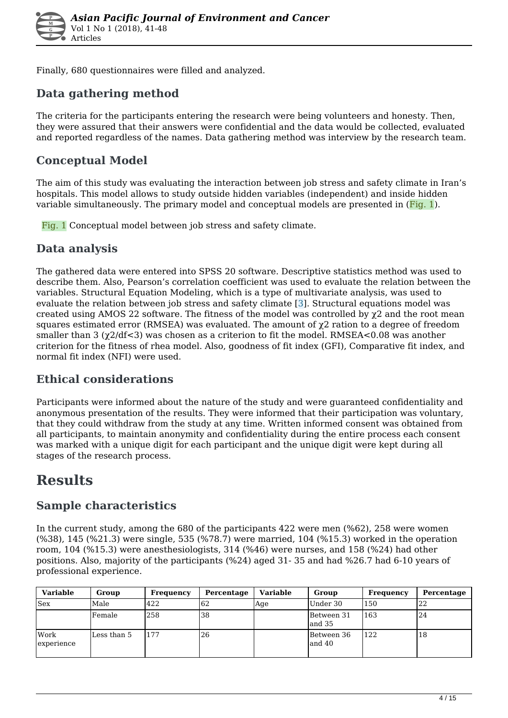

Finally, 680 questionnaires were filled and analyzed.

### **Data gathering method**

The criteria for the participants entering the research were being volunteers and honesty. Then, they were assured that their answers were confidential and the data would be collected, evaluated and reported regardless of the names. Data gathering method was interview by the research team.

#### **Conceptual Model**

The aim of this study was evaluating the interaction between job stress and safety climate in Iran's hospitals. This model allows to study outside hidden variables (independent) and inside hidden variable simultaneously. The primary model and conceptual models are presented in (Fig. 1).

Fig. 1 Conceptual model between job stress and safety climate.

#### **Data analysis**

The gathered data were entered into SPSS 20 software. Descriptive statistics method was used to describe them. Also, Pearson's correlation coefficient was used to evaluate the relation between the variables. Structural Equation Modeling, which is a type of multivariate analysis, was used to evaluate the relation between job stress and safety climate  $\overline{3}$ . Structural equations model was created using AMOS 22 software. The fitness of the model was controlled by  $\gamma$ 2 and the root mean squares estimated error (RMSEA) was evaluated. The amount of  $\chi$ 2 ration to a degree of freedom smaller than 3 ( $\chi$ 2/df < 3) was chosen as a criterion to fit the model. RMSEA < 0.08 was another criterion for the fitness of rhea model. Also, goodness of fit index (GFI), Comparative fit index, and normal fit index (NFI) were used.

### **Ethical considerations**

Participants were informed about the nature of the study and were guaranteed confidentiality and anonymous presentation of the results. They were informed that their participation was voluntary, that they could withdraw from the study at any time. Written informed consent was obtained from all participants, to maintain anonymity and confidentiality during the entire process each consent was marked with a unique digit for each participant and the unique digit were kept during all stages of the research process.

### **Results**

#### **Sample characteristics**

In the current study, among the 680 of the participants 422 were men (%62), 258 were women (%38), 145 (%21.3) were single, 535 (%78.7) were married, 104 (%15.3) worked in the operation room, 104 (%15.3) were anesthesiologists, 314 (%46) were nurses, and 158 (%24) had other positions. Also, majority of the participants (%24) aged 31- 35 and had %26.7 had 6-10 years of professional experience.

| <b>Variable</b>           | Group       | Frequency | Percentage | Variable | Group                  | Frequency | Percentage |
|---------------------------|-------------|-----------|------------|----------|------------------------|-----------|------------|
| <b>Sex</b>                | Male        | 422       | 62         | Age      | Under 30               | 150       | 22         |
|                           | lFemale     | 258       | 38         |          | Between 31<br>land 35  | 163       | 24         |
| <b>Work</b><br>experience | Less than 5 | 177       | 26         |          | Between 36<br>and $40$ | 122       | 18         |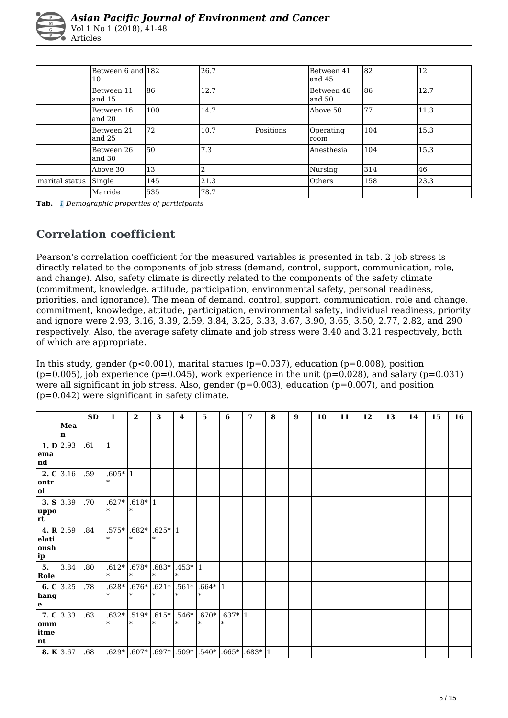|                | Between 6 and 182<br>10 |     | 26.7 |           | Between 41<br>land 45 | 82  | 12   |
|----------------|-------------------------|-----|------|-----------|-----------------------|-----|------|
|                | Between 11<br>land 15   | 186 | 12.7 |           | Between 46<br>land 50 | 186 | 12.7 |
|                | Between 16<br>land 20   | 100 | 14.7 |           | Above 50              | 77  | 11.3 |
|                | Between 21<br>land 25   | 72  | 10.7 | Positions | Operating<br>room     | 104 | 15.3 |
|                | Between 26<br>land 30   | I50 | 7.3  |           | Anesthesia            | 104 | 15.3 |
|                | Above 30                | 13  |      |           | Nursing               | 314 | 46   |
| marital status | Single                  | 145 | 21.3 |           | <b>Others</b>         | 158 | 23.3 |
|                | Marride                 | 535 | 78.7 |           |                       |     |      |

**Tab.** *1 Demographic properties of participants* 

### **Correlation coefficient**

Pearson's correlation coefficient for the measured variables is presented in tab. 2 Job stress is directly related to the components of job stress (demand, control, support, communication, role, and change). Also, safety climate is directly related to the components of the safety climate (commitment, knowledge, attitude, participation, environmental safety, personal readiness, priorities, and ignorance). The mean of demand, control, support, communication, role and change, commitment, knowledge, attitude, participation, environmental safety, individual readiness, priority and ignore were 2.93, 3.16, 3.39, 2.59, 3.84, 3.25, 3.33, 3.67, 3.90, 3.65, 3.50, 2.77, 2.82, and 290 respectively. Also, the average safety climate and job stress were 3.40 and 3.21 respectively, both of which are appropriate.

In this study, gender ( $p<0.001$ ), marital statues ( $p=0.037$ ), education ( $p=0.008$ ), position  $(p=0.005)$ , job experience (p=0.045), work experience in the unit (p=0.028), and salary (p=0.031) were all significant in job stress. Also, gender  $(p=0.003)$ , education  $(p=0.007)$ , and position (p=0.042) were significant in safety climate.

|                      |      | <b>SD</b> | $\mathbf{1}$ | $\overline{2}$ | 3         | $\bf{4}$                                                                                          | 5         | 6         | 7 | 8 | 9 | 10 | 11 | 12 | 13 | 14 | 15 | 16 |
|----------------------|------|-----------|--------------|----------------|-----------|---------------------------------------------------------------------------------------------------|-----------|-----------|---|---|---|----|----|----|----|----|----|----|
|                      | Mea  |           |              |                |           |                                                                                                   |           |           |   |   |   |    |    |    |    |    |    |    |
|                      | In   |           |              |                |           |                                                                                                   |           |           |   |   |   |    |    |    |    |    |    |    |
| 1. $\mathbf{D}$ 2.93 |      | .61       | l1           |                |           |                                                                                                   |           |           |   |   |   |    |    |    |    |    |    |    |
| ema<br> nd           |      |           |              |                |           |                                                                                                   |           |           |   |   |   |    |    |    |    |    |    |    |
| 2. $C$ 3.16          |      | .59       | $.605* 1$    |                |           |                                                                                                   |           |           |   |   |   |    |    |    |    |    |    |    |
| ontr<br>ol           |      |           | $\ast$       |                |           |                                                                                                   |           |           |   |   |   |    |    |    |    |    |    |    |
| 3. $S$ 3.39          |      | .70       | $.627*$      | $.618* 1$      |           |                                                                                                   |           |           |   |   |   |    |    |    |    |    |    |    |
| uppo <br>rt          |      |           | $\ast$       |                |           |                                                                                                   |           |           |   |   |   |    |    |    |    |    |    |    |
| 4. R $ 2.59$         |      | .84       | $.575*$      | $.682*$        | $.625* 1$ |                                                                                                   |           |           |   |   |   |    |    |    |    |    |    |    |
| elati<br>lonsh       |      |           | $\ast$       |                |           |                                                                                                   |           |           |   |   |   |    |    |    |    |    |    |    |
| ip                   |      |           |              |                |           |                                                                                                   |           |           |   |   |   |    |    |    |    |    |    |    |
| 5.                   | 3.84 | 08.       | $.612*$      |                |           | $.678*$ .683*.453*.1                                                                              |           |           |   |   |   |    |    |    |    |    |    |    |
| Role                 |      |           | ∗            | $\ast$         | $\ast$    | $\ast$                                                                                            |           |           |   |   |   |    |    |    |    |    |    |    |
| 6. $C$ 3.25          |      | .78       |              |                |           | $.628*$ $.676*$ $.621*$ $.561*$                                                                   | $.664* 1$ |           |   |   |   |    |    |    |    |    |    |    |
| hang<br>le.          |      |           | ∣∗⊧          |                |           |                                                                                                   | ∗         |           |   |   |   |    |    |    |    |    |    |    |
| 7. $C$ 3.33          |      | .63       |              |                |           | $.632*$ $.519*$ $.615*$ $.546*$                                                                   | $.670*$   | $.637*$ 1 |   |   |   |    |    |    |    |    |    |    |
| omm                  |      |           | $\ast$       |                |           | ж                                                                                                 |           |           |   |   |   |    |    |    |    |    |    |    |
| itme                 |      |           |              |                |           |                                                                                                   |           |           |   |   |   |    |    |    |    |    |    |    |
| nt                   |      |           |              |                |           |                                                                                                   |           |           |   |   |   |    |    |    |    |    |    |    |
| 8. $K$ 3.67          |      | .68       |              |                |           | .629* $\left[ .607*\right] .697*\left[ .509*\right] .540*\left[ .665*\right] .683*\left[1\right]$ |           |           |   |   |   |    |    |    |    |    |    |    |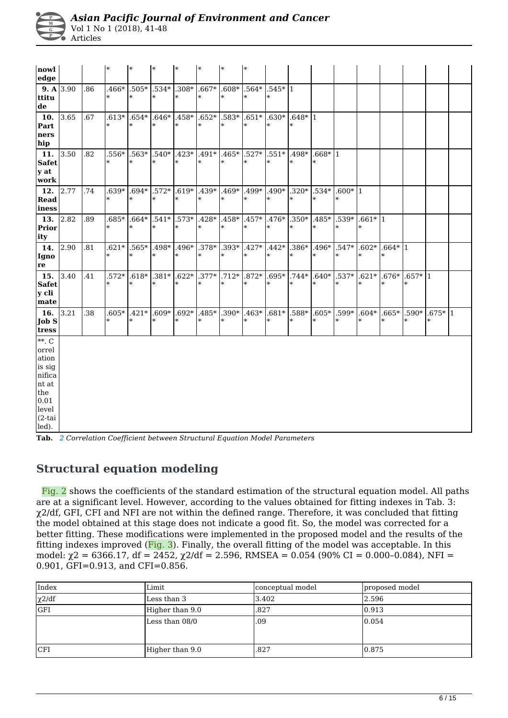| M  |  |
|----|--|
| G. |  |
|    |  |

Vol 1 No 1 (2018), 41-48 Articles

| nowl<br>edge                                                                                          |     | I∗           | $\ast$                                                                        | $\ast$ |    | $\ast$ | l*                | ∣∗                |                                                                     |                      |                   |                     |                     |                     |                       |  |
|-------------------------------------------------------------------------------------------------------|-----|--------------|-------------------------------------------------------------------------------|--------|----|--------|-------------------|-------------------|---------------------------------------------------------------------|----------------------|-------------------|---------------------|---------------------|---------------------|-----------------------|--|
| 9. A 3.90<br>ttitu<br>de                                                                              | .86 | l∗           |                                                                               |        |    | $\ast$ | $\ast$            |                   | $.466*$ $.505*$ $.534*$ $.308*$ $.667*$ $.608*$ $.564*$ $.545*$ $1$ |                      |                   |                     |                     |                     |                       |  |
| 10. 3.65<br>Part<br>ners<br>hip                                                                       | .67 | l∗           | $.613*$ $.654*$ $.646*$ $.458*$ $.652*$<br>$\ast$                             |        | l∗ | $\ast$ | $.583*$<br>$\ast$ | $.651*$<br>$\ast$ | $.630*$ $.648*$  1<br>$\ast$                                        | I∗                   |                   |                     |                     |                     |                       |  |
| 11. 3.50<br><b>Safet</b><br>$\mathbf y$ at<br>work                                                    | .82 | $\ast$       | .556* .563* .540* .423* .491* .465* .527*<br>$\ast$                           |        |    | $\ast$ | $\ast$            | ∣∗                | $.551*$<br>$\ast$                                                   | .498*<br>$\ast$      | $.668* 1$         |                     |                     |                     |                       |  |
| 12. 2.77<br><b>Read</b><br>iness                                                                      | .74 | l∗           | $.639*$ $.694*$ $.572*$ $.619*$ $.439*$ $.469*$ $.499*$<br>$\ast$             |        | l* | $\ast$ | $\ast$            | $\ast$            | .490*<br>$\ast$                                                     | $.320*$<br>$\ast$    | $.534*$           | $.600*$ 1<br>$\ast$ |                     |                     |                       |  |
| 13. $2.\overline{82}$<br>Prior<br>ity                                                                 | .89 | $.685*$<br>∗ | $\ast$                                                                        |        |    | $\ast$ | $\ast$            | ∣∗                | $.664*$ $.541*$ $.573*$ $.428*$ $.458*$ $.457*$ $.476*$  <br>$\ast$ | $.350*$<br>$\ast$    | .485*             | .539*<br>$\ast$     | $.661*11$<br>∣∗     |                     |                       |  |
| 14. 2.90<br>Igno<br> re                                                                               | .81 | l*           | $.621*$ , $.565*$ , $.498*$ , $.496*$ , $.378*$ , $.393*$ , $.427*$<br>$\ast$ |        | l∗ | $\ast$ | I∗                | $\ast$            | $.442*$<br>$\ast$                                                   | $.386*$<br>$\ast$    | $.496*$<br>∗      | $.547*$<br>$\ast$   | $.602*$<br>l*       | $.664* 1$<br>$\ast$ |                       |  |
| 15. $ 3.40$<br><b>Safet</b><br>y cli<br>mate                                                          | .41 |              | .572* .618* .381* .622* .377* .712* .872*<br>$\ast$                           |        |    | $\ast$ | $\ast$            | ∗                 | $\ast$                                                              | $.695*$ .744*<br>$*$ | $.640*$<br>∗      | $\ast$              | $.537*$ .621*<br>l* | $\ast$              | $.676*$ $.657*$  1    |  |
| 16. 3.21<br>Job S<br>tress                                                                            | .38 | l*           | $.605*$ $.421*$ $.609*$ $.692*$ $.485*$ $.390*$ $.463*$<br>$\ast$             |        |    | $\ast$ | $\ast$            | ∗                 | $.681*$<br>$\ast$                                                   | .588*<br>$\ast$      | $.605*$<br>$\ast$ |                     | $.599*$ .604*<br>∗  | $\ast$              | $.665*$ .590* .675* 1 |  |
| $**$ . C<br>orrel<br>ation<br>is sig<br>nifica<br>nt at<br>the<br>0.01<br>level<br>$(2-tai)$<br>led). |     |              |                                                                               |        |    |        |                   |                   |                                                                     |                      |                   |                     |                     |                     |                       |  |

**Tab.** *2 Correlation Coefficient between Structural Equation Model Parameters* 

#### **Structural equation modeling**

 Fig. 2 shows the coefficients of the standard estimation of the structural equation model. All paths are at a significant level. However, according to the values obtained for fitting indexes in Tab. 3: χ2/df, GFI, CFI and NFI are not within the defined range. Therefore, it was concluded that fitting the model obtained at this stage does not indicate a good fit. So, the model was corrected for a better fitting. These modifications were implemented in the proposed model and the results of the fitting indexes improved (Fig. 3). Finally, the overall fitting of the model was acceptable. In this model:  $\gamma$ 2 = 6366.17, df = 2452,  $\gamma$ 2/df = 2.596, RMSEA = 0.054 (90% CI = 0.000-0.084), NFI = 0.901, GFI=0.913, and CFI=0.856.

| Index       | Limit           | conceptual model | proposed model |
|-------------|-----------------|------------------|----------------|
| $\chi$ 2/df | Less than 3     | 3.402            | 2.596          |
| <b>GFI</b>  | Higher than 9.0 | .827             | 0.913          |
|             | Less than 08/0  | .09              | 0.054          |
| <b>CFI</b>  | Higher than 9.0 | .827             | 0.875          |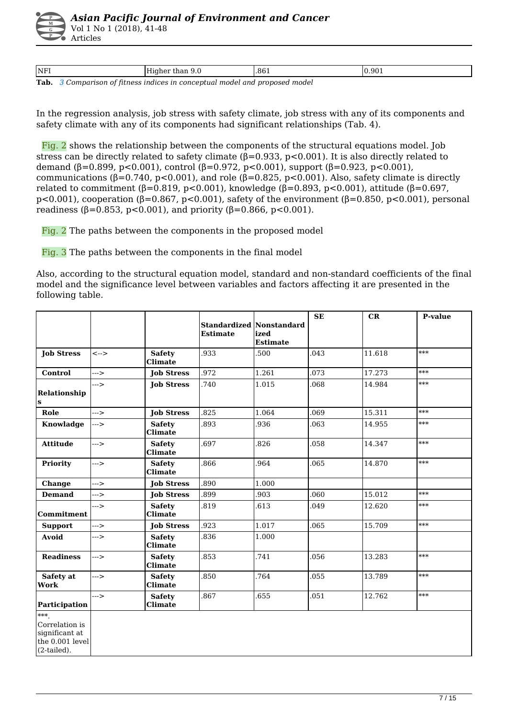Vol 1 No 1 (2018), 41-48 Articles

| $T_2$ k |        |     |       |
|---------|--------|-----|-------|
| NFI     | ັບ ∙ັບ | 861 | 0.901 |

**Tab.** *3 Comparison of fitness indices in conceptual model and proposed model* 

In the regression analysis, job stress with safety climate, job stress with any of its components and safety climate with any of its components had significant relationships (Tab. 4).

 Fig. 2 shows the relationship between the components of the structural equations model. Job stress can be directly related to safety climate  $(\beta = 0.933, p < 0.001)$ . It is also directly related to demand (β=0.899, p<0.001), control (β=0.972, p<0.001), support (β=0.923, p<0.001), communications ( $β=0.740$ ,  $p<0.001$ ), and role ( $β=0.825$ ,  $p<0.001$ ). Also, safety climate is directly related to commitment (β=0.819, p<0.001), knowledge (β=0.893, p<0.001), attitude (β=0.697, p<0.001), cooperation (β=0.867, p<0.001), safety of the environment (β=0.850, p<0.001), personal readiness ( $β=0.853$ ,  $p<0.001$ ), and priority ( $β=0.866$ ,  $p<0.001$ ).

Fig. 2 The paths between the components in the proposed model

Fig. 3 The paths between the components in the final model

Also, according to the structural equation model, standard and non-standard coefficients of the final model and the significance level between variables and factors affecting it are presented in the following table.

|                                                                           |               |                                 | <b>Standardized Nonstandard</b><br><b>Estimate</b> | ized<br><b>Estimate</b> | <b>SE</b> | CR     | <b>P-value</b> |
|---------------------------------------------------------------------------|---------------|---------------------------------|----------------------------------------------------|-------------------------|-----------|--------|----------------|
| <b>Job Stress</b>                                                         | $\leftarrow$  | <b>Safety</b><br><b>Climate</b> | .933                                               | .500                    | .043      | 11.618 | $***$          |
| Control                                                                   | $\rightarrow$ | <b>Job Stress</b>               | .972                                               | 1.261                   | 073       | 17.273 | $***$          |
| <b>Relationship</b><br>ls                                                 | $\rightarrow$ | <b>Job Stress</b>               | .740                                               | 1.015                   | .068      | 14.984 | ***            |
| Role                                                                      | $\rightarrow$ | <b>Job Stress</b>               | .825                                               | 1.064                   | .069      | 15.311 | $***$          |
| Knowladge                                                                 | --->          | <b>Safety</b><br><b>Climate</b> | .893                                               | .936                    | .063      | 14.955 | ***            |
| <b>Attitude</b>                                                           | $\rightarrow$ | <b>Safety</b><br><b>Climate</b> | .697                                               | .826                    | .058      | 14.347 | $***$          |
| Priority                                                                  | $-2$          | <b>Safety</b><br><b>Climate</b> | .866                                               | .964                    | 065       | 14.870 | ***            |
| Change                                                                    | --->          | <b>Job Stress</b>               | .890                                               | 1.000                   |           |        |                |
| <b>Demand</b>                                                             | $\rightarrow$ | <b>Job Stress</b>               | .899                                               | .903                    | .060      | 15.012 | ***            |
| <b>Commitment</b>                                                         | --->          | <b>Safety</b><br><b>Climate</b> | .819                                               | .613                    | .049      | 12.620 | $***$          |
| <b>Support</b>                                                            | --->          | <b>Job Stress</b>               | .923                                               | 1.017                   | .065      | 15.709 | ***            |
| <b>Avoid</b>                                                              | --->          | <b>Safety</b><br><b>Climate</b> | .836                                               | 1.000                   |           |        |                |
| <b>Readiness</b>                                                          | --->          | <b>Safety</b><br><b>Climate</b> | .853                                               | .741                    | .056      | 13.283 | $***$          |
| Safety at<br>Work                                                         | --->          | <b>Safety</b><br><b>Climate</b> | .850                                               | .764                    | .055      | 13.789 | ***            |
| Participation                                                             | $-2$          | <b>Safety</b><br><b>Climate</b> | .867                                               | .655                    | .051      | 12.762 | $***$          |
| ***<br>Correlation is<br>significant at<br>the 0.001 level<br>(2-tailed). |               |                                 |                                                    |                         |           |        |                |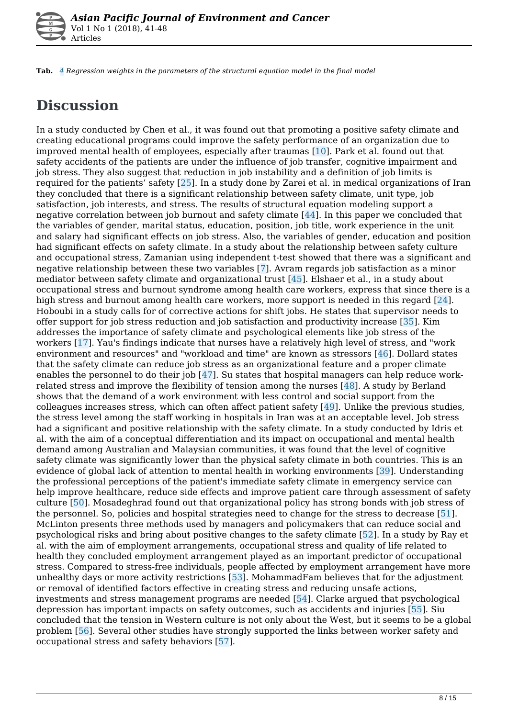

**Tab.** *4 Regression weights in the parameters of the structural equation model in the final model* 

# **Discussion**

In a study conducted by Chen et al., it was found out that promoting a positive safety climate and creating educational programs could improve the safety performance of an organization due to improved mental health of employees, especially after traumas [10]. Park et al. found out that safety accidents of the patients are under the influence of job transfer, cognitive impairment and job stress. They also suggest that reduction in job instability and a definition of job limits is required for the patients' safety [25]. In a study done by Zarei et al. in medical organizations of Iran they concluded that there is a significant relationship between safety climate, unit type, job satisfaction, job interests, and stress. The results of structural equation modeling support a negative correlation between job burnout and safety climate [44]. In this paper we concluded that the variables of gender, marital status, education, position, job title, work experience in the unit and salary had significant effects on job stress. Also, the variables of gender, education and position had significant effects on safety climate. In a study about the relationship between safety culture and occupational stress, Zamanian using independent t-test showed that there was a significant and negative relationship between these two variables [7]. Avram regards job satisfaction as a minor mediator between safety climate and organizational trust  $[45]$ . Elshaer et al., in a study about occupational stress and burnout syndrome among health care workers, express that since there is a high stress and burnout among health care workers, more support is needed in this regard [24]. Hoboubi in a study calls for of corrective actions for shift jobs. He states that supervisor needs to offer support for job stress reduction and job satisfaction and productivity increase [35]. Kim addresses the importance of safety climate and psychological elements like job stress of the workers [17]. Yau's findings indicate that nurses have a relatively high level of stress, and "work environment and resources" and "workload and time" are known as stressors [46]. Dollard states that the safety climate can reduce job stress as an organizational feature and a proper climate enables the personnel to do their job [47]. Su states that hospital managers can help reduce workrelated stress and improve the flexibility of tension among the nurses [48]. A study by Berland shows that the demand of a work environment with less control and social support from the colleagues increases stress, which can often affect patient safety [49]. Unlike the previous studies, the stress level among the staff working in hospitals in Iran was at an acceptable level. Job stress had a significant and positive relationship with the safety climate. In a study conducted by Idris et al. with the aim of a conceptual differentiation and its impact on occupational and mental health demand among Australian and Malaysian communities, it was found that the level of cognitive safety climate was significantly lower than the physical safety climate in both countries. This is an evidence of global lack of attention to mental health in working environments [39]. Understanding the professional perceptions of the patient's immediate safety climate in emergency service can help improve healthcare, reduce side effects and improve patient care through assessment of safety culture [50]. Mosadeghrad found out that organizational policy has strong bonds with job stress of the personnel. So, policies and hospital strategies need to change for the stress to decrease [51]. McLinton presents three methods used by managers and policymakers that can reduce social and psychological risks and bring about positive changes to the safety climate [52]. In a study by Ray et al. with the aim of employment arrangements, occupational stress and quality of life related to health they concluded employment arrangement played as an important predictor of occupational stress. Compared to stress-free individuals, people affected by employment arrangement have more unhealthy days or more activity restrictions [53]. MohammadFam believes that for the adjustment or removal of identified factors effective in creating stress and reducing unsafe actions, investments and stress management programs are needed [54]. Clarke argued that psychological depression has important impacts on safety outcomes, such as accidents and injuries [55]. Siu concluded that the tension in Western culture is not only about the West, but it seems to be a global problem [56]. Several other studies have strongly supported the links between worker safety and occupational stress and safety behaviors [57].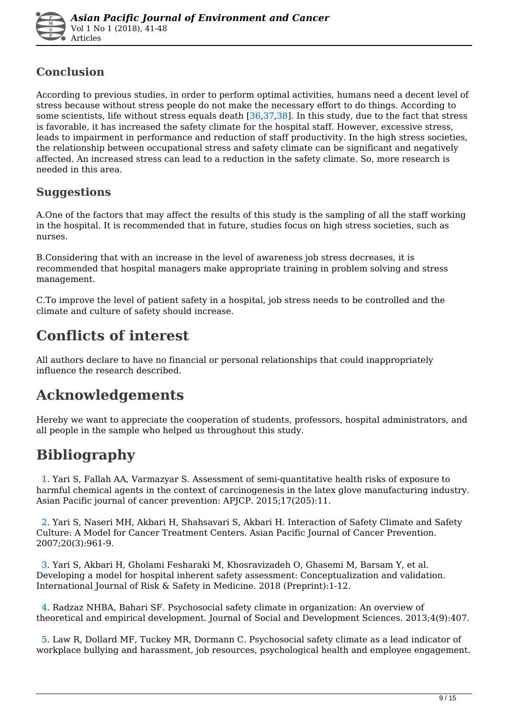

### **Conclusion**

According to previous studies, in order to perform optimal activities, humans need a decent level of stress because without stress people do not make the necessary effort to do things. According to some scientists, life without stress equals death [36,37,38]. In this study, due to the fact that stress is favorable, it has increased the safety climate for the hospital staff. However, excessive stress, leads to impairment in performance and reduction of staff productivity. In the high stress societies, the relationship between occupational stress and safety climate can be significant and negatively affected. An increased stress can lead to a reduction in the safety climate. So, more research is needed in this area.

### **Suggestions**

A.One of the factors that may affect the results of this study is the sampling of all the staff working in the hospital. It is recommended that in future, studies focus on high stress societies, such as nurses.

B.Considering that with an increase in the level of awareness job stress decreases, it is recommended that hospital managers make appropriate training in problem solving and stress management.

C.To improve the level of patient safety in a hospital, job stress needs to be controlled and the climate and culture of safety should increase.

### **Conflicts of interest**

All authors declare to have no financial or personal relationships that could inappropriately influence the research described.

### **Acknowledgements**

Hereby we want to appreciate the cooperation of students, professors, hospital administrators, and all people in the sample who helped us throughout this study.

## **Bibliography**

 1. Yari S, Fallah AA, Varmazyar S. Assessment of semi-quantitative health risks of exposure to harmful chemical agents in the context of carcinogenesis in the latex glove manufacturing industry. Asian Pacific journal of cancer prevention: APJCP. 2015;17(205):11.

 2. Yari S, Naseri MH, Akbari H, Shahsavari S, Akbari H. Interaction of Safety Climate and Safety Culture: A Model for Cancer Treatment Centers. Asian Pacific Journal of Cancer Prevention. 2007;20(3):961-9.

 3. Yari S, Akbari H, Gholami Fesharaki M, Khosravizadeh O, Ghasemi M, Barsam Y, et al. Developing a model for hospital inherent safety assessment: Conceptualization and validation. International Journal of Risk & Safety in Medicine. 2018 (Preprint):1-12.

 4. Radzaz NHBA, Bahari SF. Psychosocial safety climate in organization: An overview of theoretical and empirical development. Journal of Social and Development Sciences. 2013;4(9):407.

 5. Law R, Dollard MF, Tuckey MR, Dormann C. Psychosocial safety climate as a lead indicator of workplace bullying and harassment, job resources, psychological health and employee engagement.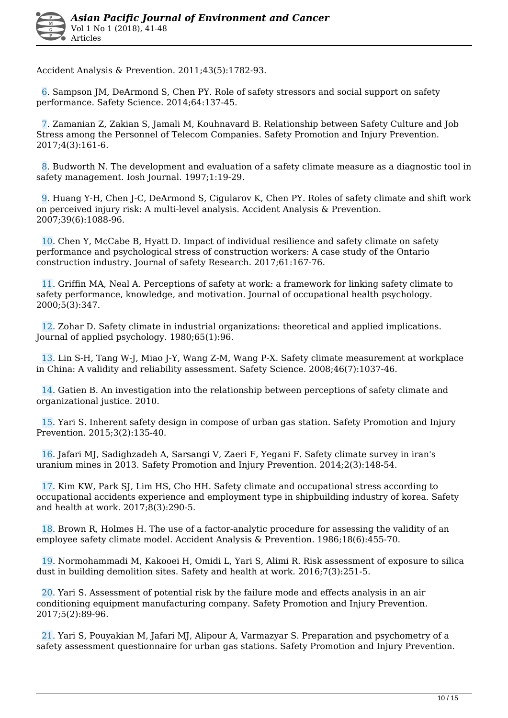Accident Analysis & Prevention. 2011;43(5):1782-93.

 6. Sampson JM, DeArmond S, Chen PY. Role of safety stressors and social support on safety performance. Safety Science. 2014;64:137-45.

 7. Zamanian Z, Zakian S, Jamali M, Kouhnavard B. Relationship between Safety Culture and Job Stress among the Personnel of Telecom Companies. Safety Promotion and Injury Prevention. 2017;4(3):161-6.

 8. Budworth N. The development and evaluation of a safety climate measure as a diagnostic tool in safety management. Iosh Journal. 1997;1:19-29.

 9. Huang Y-H, Chen J-C, DeArmond S, Cigularov K, Chen PY. Roles of safety climate and shift work on perceived injury risk: A multi-level analysis. Accident Analysis & Prevention. 2007;39(6):1088-96.

 10. Chen Y, McCabe B, Hyatt D. Impact of individual resilience and safety climate on safety performance and psychological stress of construction workers: A case study of the Ontario construction industry. Journal of safety Research. 2017;61:167-76.

 11. Griffin MA, Neal A. Perceptions of safety at work: a framework for linking safety climate to safety performance, knowledge, and motivation. Journal of occupational health psychology. 2000;5(3):347.

 12. Zohar D. Safety climate in industrial organizations: theoretical and applied implications. Journal of applied psychology. 1980;65(1):96.

 13. Lin S-H, Tang W-J, Miao J-Y, Wang Z-M, Wang P-X. Safety climate measurement at workplace in China: A validity and reliability assessment. Safety Science. 2008;46(7):1037-46.

 14. Gatien B. An investigation into the relationship between perceptions of safety climate and organizational justice. 2010.

 15. Yari S. Inherent safety design in compose of urban gas station. Safety Promotion and Injury Prevention. 2015;3(2):135-40.

 16. Jafari MJ, Sadighzadeh A, Sarsangi V, Zaeri F, Yegani F. Safety climate survey in iran's uranium mines in 2013. Safety Promotion and Injury Prevention. 2014;2(3):148-54.

 17. Kim KW, Park SJ, Lim HS, Cho HH. Safety climate and occupational stress according to occupational accidents experience and employment type in shipbuilding industry of korea. Safety and health at work. 2017;8(3):290-5.

 18. Brown R, Holmes H. The use of a factor-analytic procedure for assessing the validity of an employee safety climate model. Accident Analysis & Prevention. 1986;18(6):455-70.

 19. Normohammadi M, Kakooei H, Omidi L, Yari S, Alimi R. Risk assessment of exposure to silica dust in building demolition sites. Safety and health at work. 2016;7(3):251-5.

 20. Yari S. Assessment of potential risk by the failure mode and effects analysis in an air conditioning equipment manufacturing company. Safety Promotion and Injury Prevention. 2017;5(2):89-96.

 21. Yari S, Pouyakian M, Jafari MJ, Alipour A, Varmazyar S. Preparation and psychometry of a safety assessment questionnaire for urban gas stations. Safety Promotion and Injury Prevention.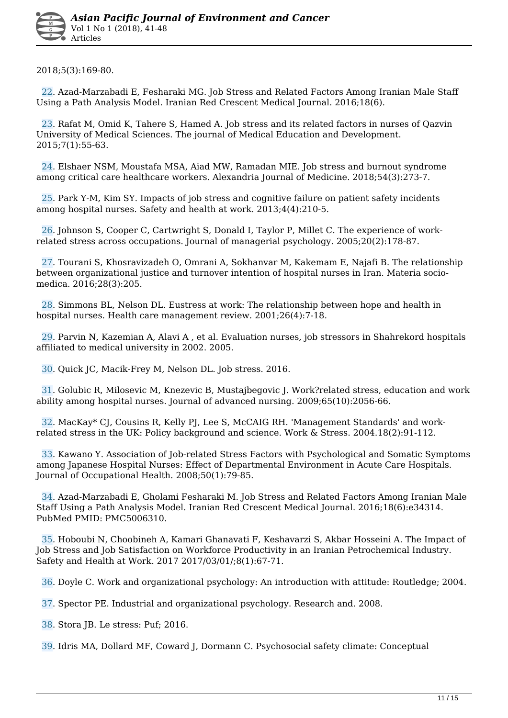2018;5(3):169-80.

 22. Azad-Marzabadi E, Fesharaki MG. Job Stress and Related Factors Among Iranian Male Staff Using a Path Analysis Model. Iranian Red Crescent Medical Journal. 2016;18(6).

 23. Rafat M, Omid K, Tahere S, Hamed A. Job stress and its related factors in nurses of Qazvin University of Medical Sciences. The journal of Medical Education and Development. 2015;7(1):55-63.

 24. Elshaer NSM, Moustafa MSA, Aiad MW, Ramadan MIE. Job stress and burnout syndrome among critical care healthcare workers. Alexandria Journal of Medicine. 2018;54(3):273-7.

 25. Park Y-M, Kim SY. Impacts of job stress and cognitive failure on patient safety incidents among hospital nurses. Safety and health at work. 2013;4(4):210-5.

 26. Johnson S, Cooper C, Cartwright S, Donald I, Taylor P, Millet C. The experience of workrelated stress across occupations. Journal of managerial psychology. 2005;20(2):178-87.

 27. Tourani S, Khosravizadeh O, Omrani A, Sokhanvar M, Kakemam E, Najafi B. The relationship between organizational justice and turnover intention of hospital nurses in Iran. Materia sociomedica. 2016;28(3):205.

 28. Simmons BL, Nelson DL. Eustress at work: The relationship between hope and health in hospital nurses. Health care management review. 2001;26(4):7-18.

 29. Parvin N, Kazemian A, Alavi A , et al. Evaluation nurses, job stressors in Shahrekord hospitals affiliated to medical university in 2002. 2005.

30. Quick JC, Macik-Frey M, Nelson DL. Job stress. 2016.

 31. Golubic R, Milosevic M, Knezevic B, Mustajbegovic J. Work?related stress, education and work ability among hospital nurses. Journal of advanced nursing. 2009;65(10):2056-66.

 32. MacKay\* CJ, Cousins R, Kelly PJ, Lee S, McCAIG RH. 'Management Standards' and workrelated stress in the UK: Policy background and science. Work & Stress. 2004.18(2):91-112.

 33. Kawano Y. Association of Job-related Stress Factors with Psychological and Somatic Symptoms among Japanese Hospital Nurses: Effect of Departmental Environment in Acute Care Hospitals. Journal of Occupational Health. 2008;50(1):79-85.

 34. Azad-Marzabadi E, Gholami Fesharaki M. Job Stress and Related Factors Among Iranian Male Staff Using a Path Analysis Model. Iranian Red Crescent Medical Journal. 2016;18(6):e34314. PubMed PMID: PMC5006310.

 35. Hoboubi N, Choobineh A, Kamari Ghanavati F, Keshavarzi S, Akbar Hosseini A. The Impact of Job Stress and Job Satisfaction on Workforce Productivity in an Iranian Petrochemical Industry. Safety and Health at Work. 2017 2017/03/01/;8(1):67-71.

36. Doyle C. Work and organizational psychology: An introduction with attitude: Routledge; 2004.

37. Spector PE. Industrial and organizational psychology. Research and. 2008.

38. Stora JB. Le stress: Puf; 2016.

39. Idris MA, Dollard MF, Coward J, Dormann C. Psychosocial safety climate: Conceptual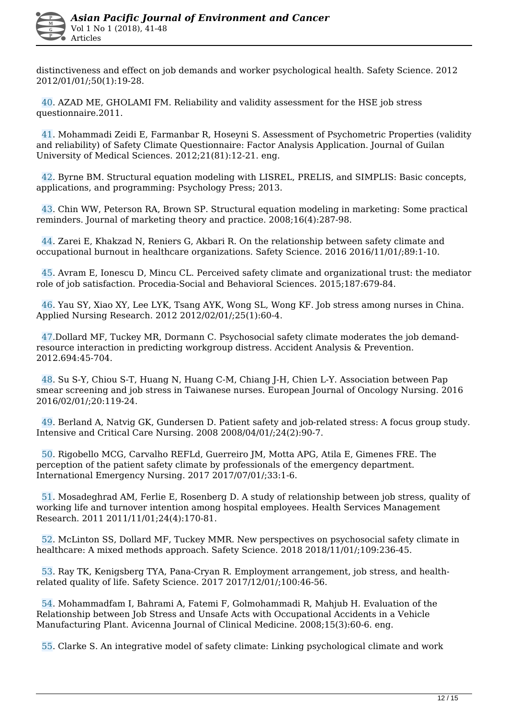distinctiveness and effect on job demands and worker psychological health. Safety Science. 2012 2012/01/01/;50(1):19-28.

 40. AZAD ME, GHOLAMI FM. Reliability and validity assessment for the HSE job stress questionnaire.2011.

 41. Mohammadi Zeidi E, Farmanbar R, Hoseyni S. Assessment of Psychometric Properties (validity and reliability) of Safety Climate Questionnaire: Factor Analysis Application. Journal of Guilan University of Medical Sciences. 2012;21(81):12-21. eng.

 42. Byrne BM. Structural equation modeling with LISREL, PRELIS, and SIMPLIS: Basic concepts, applications, and programming: Psychology Press; 2013.

 43. Chin WW, Peterson RA, Brown SP. Structural equation modeling in marketing: Some practical reminders. Journal of marketing theory and practice. 2008;16(4):287-98.

 44. Zarei E, Khakzad N, Reniers G, Akbari R. On the relationship between safety climate and occupational burnout in healthcare organizations. Safety Science. 2016 2016/11/01/;89:1-10.

 45. Avram E, Ionescu D, Mincu CL. Perceived safety climate and organizational trust: the mediator role of job satisfaction. Procedia-Social and Behavioral Sciences. 2015;187:679-84.

 46. Yau SY, Xiao XY, Lee LYK, Tsang AYK, Wong SL, Wong KF. Job stress among nurses in China. Applied Nursing Research. 2012 2012/02/01/;25(1):60-4.

 47.Dollard MF, Tuckey MR, Dormann C. Psychosocial safety climate moderates the job demandresource interaction in predicting workgroup distress. Accident Analysis & Prevention. 2012.694:45-704.

 48. Su S-Y, Chiou S-T, Huang N, Huang C-M, Chiang J-H, Chien L-Y. Association between Pap smear screening and job stress in Taiwanese nurses. European Journal of Oncology Nursing. 2016 2016/02/01/;20:119-24.

 49. Berland A, Natvig GK, Gundersen D. Patient safety and job-related stress: A focus group study. Intensive and Critical Care Nursing. 2008 2008/04/01/;24(2):90-7.

 50. Rigobello MCG, Carvalho REFLd, Guerreiro JM, Motta APG, Atila E, Gimenes FRE. The perception of the patient safety climate by professionals of the emergency department. International Emergency Nursing. 2017 2017/07/01/;33:1-6.

 51. Mosadeghrad AM, Ferlie E, Rosenberg D. A study of relationship between job stress, quality of working life and turnover intention among hospital employees. Health Services Management Research. 2011 2011/11/01;24(4):170-81.

 52. McLinton SS, Dollard MF, Tuckey MMR. New perspectives on psychosocial safety climate in healthcare: A mixed methods approach. Safety Science. 2018 2018/11/01/;109:236-45.

 53. Ray TK, Kenigsberg TYA, Pana-Cryan R. Employment arrangement, job stress, and healthrelated quality of life. Safety Science. 2017 2017/12/01/;100:46-56.

 54. Mohammadfam I, Bahrami A, Fatemi F, Golmohammadi R, Mahjub H. Evaluation of the Relationship between Job Stress and Unsafe Acts with Occupational Accidents in a Vehicle Manufacturing Plant. Avicenna Journal of Clinical Medicine. 2008;15(3):60-6. eng.

55. Clarke S. An integrative model of safety climate: Linking psychological climate and work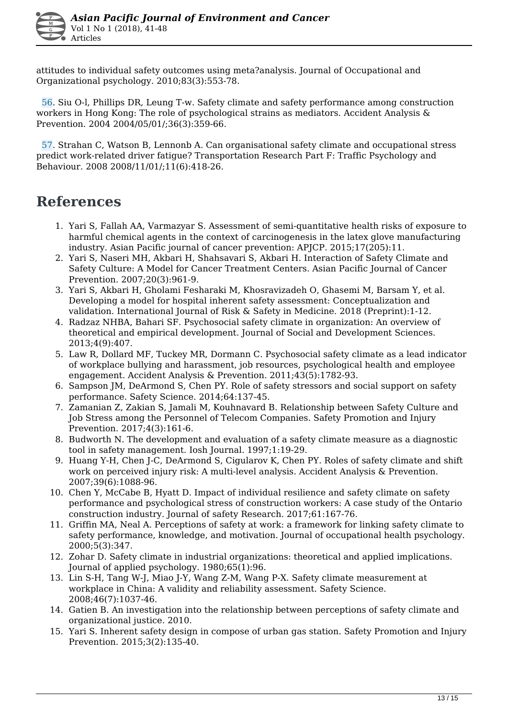attitudes to individual safety outcomes using meta?analysis. Journal of Occupational and Organizational psychology. 2010;83(3):553-78.

 56. Siu O-l, Phillips DR, Leung T-w. Safety climate and safety performance among construction workers in Hong Kong: The role of psychological strains as mediators. Accident Analysis & Prevention. 2004 2004/05/01/;36(3):359-66.

 57. Strahan C, Watson B, Lennonb A. Can organisational safety climate and occupational stress predict work-related driver fatigue? Transportation Research Part F: Traffic Psychology and Behaviour. 2008 2008/11/01/;11(6):418-26.

### **References**

- 1. Yari S, Fallah AA, Varmazyar S. Assessment of semi-quantitative health risks of exposure to harmful chemical agents in the context of carcinogenesis in the latex glove manufacturing industry. Asian Pacific journal of cancer prevention: APJCP. 2015;17(205):11.
- 2. Yari S, Naseri MH, Akbari H, Shahsavari S, Akbari H. Interaction of Safety Climate and Safety Culture: A Model for Cancer Treatment Centers. Asian Pacific Journal of Cancer Prevention. 2007;20(3):961-9.
- 3. Yari S, Akbari H, Gholami Fesharaki M, Khosravizadeh O, Ghasemi M, Barsam Y, et al. Developing a model for hospital inherent safety assessment: Conceptualization and validation. International Journal of Risk & Safety in Medicine. 2018 (Preprint):1-12.
- 4. Radzaz NHBA, Bahari SF. Psychosocial safety climate in organization: An overview of theoretical and empirical development. Journal of Social and Development Sciences. 2013;4(9):407.
- 5. Law R, Dollard MF, Tuckey MR, Dormann C. Psychosocial safety climate as a lead indicator of workplace bullying and harassment, job resources, psychological health and employee engagement. Accident Analysis & Prevention. 2011;43(5):1782-93.
- 6. Sampson JM, DeArmond S, Chen PY. Role of safety stressors and social support on safety performance. Safety Science. 2014;64:137-45.
- 7. Zamanian Z, Zakian S, Jamali M, Kouhnavard B. Relationship between Safety Culture and Job Stress among the Personnel of Telecom Companies. Safety Promotion and Injury Prevention. 2017;4(3):161-6.
- 8. Budworth N. The development and evaluation of a safety climate measure as a diagnostic tool in safety management. Iosh Journal. 1997;1:19-29.
- 9. Huang Y-H, Chen J-C, DeArmond S, Cigularov K, Chen PY. Roles of safety climate and shift work on perceived injury risk: A multi-level analysis. Accident Analysis & Prevention. 2007;39(6):1088-96.
- 10. Chen Y, McCabe B, Hyatt D. Impact of individual resilience and safety climate on safety performance and psychological stress of construction workers: A case study of the Ontario construction industry. Journal of safety Research. 2017;61:167-76.
- 11. Griffin MA, Neal A. Perceptions of safety at work: a framework for linking safety climate to safety performance, knowledge, and motivation. Journal of occupational health psychology. 2000;5(3):347.
- 12. Zohar D. Safety climate in industrial organizations: theoretical and applied implications. Journal of applied psychology. 1980;65(1):96.
- 13. Lin S-H, Tang W-J, Miao J-Y, Wang Z-M, Wang P-X. Safety climate measurement at workplace in China: A validity and reliability assessment. Safety Science. 2008;46(7):1037-46.
- 14. Gatien B. An investigation into the relationship between perceptions of safety climate and organizational justice. 2010.
- 15. Yari S. Inherent safety design in compose of urban gas station. Safety Promotion and Injury Prevention. 2015;3(2):135-40.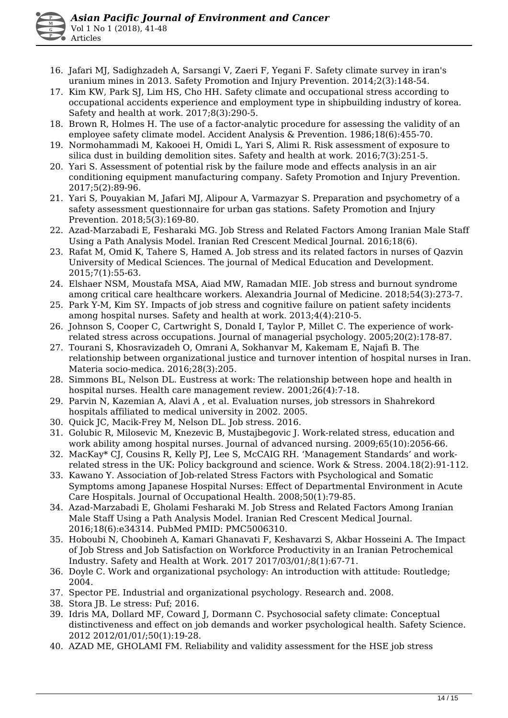- 16. Jafari MJ, Sadighzadeh A, Sarsangi V, Zaeri F, Yegani F. Safety climate survey in iran's uranium mines in 2013. Safety Promotion and Injury Prevention. 2014;2(3):148-54.
- 17. Kim KW, Park SJ, Lim HS, Cho HH. Safety climate and occupational stress according to occupational accidents experience and employment type in shipbuilding industry of korea. Safety and health at work. 2017;8(3):290-5.
- 18. Brown R, Holmes H. The use of a factor-analytic procedure for assessing the validity of an employee safety climate model. Accident Analysis & Prevention. 1986;18(6):455-70.
- 19. Normohammadi M, Kakooei H, Omidi L, Yari S, Alimi R. Risk assessment of exposure to silica dust in building demolition sites. Safety and health at work. 2016;7(3):251-5.
- 20. Yari S. Assessment of potential risk by the failure mode and effects analysis in an air conditioning equipment manufacturing company. Safety Promotion and Injury Prevention. 2017;5(2):89-96.
- 21. Yari S, Pouyakian M, Jafari MJ, Alipour A, Varmazyar S. Preparation and psychometry of a safety assessment questionnaire for urban gas stations. Safety Promotion and Injury Prevention. 2018;5(3):169-80.
- 22. Azad-Marzabadi E, Fesharaki MG. Job Stress and Related Factors Among Iranian Male Staff Using a Path Analysis Model. Iranian Red Crescent Medical Journal. 2016;18(6).
- 23. Rafat M, Omid K, Tahere S, Hamed A. Job stress and its related factors in nurses of Qazvin University of Medical Sciences. The journal of Medical Education and Development. 2015;7(1):55-63.
- 24. Elshaer NSM, Moustafa MSA, Aiad MW, Ramadan MIE. Job stress and burnout syndrome among critical care healthcare workers. Alexandria Journal of Medicine. 2018;54(3):273-7.
- 25. Park Y-M, Kim SY. Impacts of job stress and cognitive failure on patient safety incidents among hospital nurses. Safety and health at work. 2013;4(4):210-5.
- 26. Johnson S, Cooper C, Cartwright S, Donald I, Taylor P, Millet C. The experience of workrelated stress across occupations. Journal of managerial psychology. 2005;20(2):178-87.
- 27. Tourani S, Khosravizadeh O, Omrani A, Sokhanvar M, Kakemam E, Najafi B. The relationship between organizational justice and turnover intention of hospital nurses in Iran. Materia socio-medica. 2016;28(3):205.
- 28. Simmons BL, Nelson DL. Eustress at work: The relationship between hope and health in hospital nurses. Health care management review. 2001;26(4):7-18.
- 29. Parvin N, Kazemian A, Alavi A , et al. Evaluation nurses, job stressors in Shahrekord hospitals affiliated to medical university in 2002. 2005.
- 30. Quick JC, Macik-Frey M, Nelson DL. Job stress. 2016.
- 31. Golubic R, Milosevic M, Knezevic B, Mustajbegovic J. Work‐related stress, education and work ability among hospital nurses. Journal of advanced nursing. 2009;65(10):2056-66.
- 32. MacKay\* CJ, Cousins R, Kelly PJ, Lee S, McCAIG RH. 'Management Standards' and workrelated stress in the UK: Policy background and science. Work & Stress. 2004.18(2):91-112.
- 33. Kawano Y. Association of Job-related Stress Factors with Psychological and Somatic Symptoms among Japanese Hospital Nurses: Effect of Departmental Environment in Acute Care Hospitals. Journal of Occupational Health. 2008;50(1):79-85.
- 34. Azad-Marzabadi E, Gholami Fesharaki M. Job Stress and Related Factors Among Iranian Male Staff Using a Path Analysis Model. Iranian Red Crescent Medical Journal. 2016;18(6):e34314. PubMed PMID: PMC5006310.
- 35. Hoboubi N, Choobineh A, Kamari Ghanavati F, Keshavarzi S, Akbar Hosseini A. The Impact of Job Stress and Job Satisfaction on Workforce Productivity in an Iranian Petrochemical Industry. Safety and Health at Work. 2017 2017/03/01/;8(1):67-71.
- 36. Doyle C. Work and organizational psychology: An introduction with attitude: Routledge; 2004.
- 37. Spector PE. Industrial and organizational psychology. Research and. 2008.
- 38. Stora JB. Le stress: Puf; 2016.
- 39. Idris MA, Dollard MF, Coward J, Dormann C. Psychosocial safety climate: Conceptual distinctiveness and effect on job demands and worker psychological health. Safety Science. 2012 2012/01/01/;50(1):19-28.
- 40. AZAD ME, GHOLAMI FM. Reliability and validity assessment for the HSE job stress